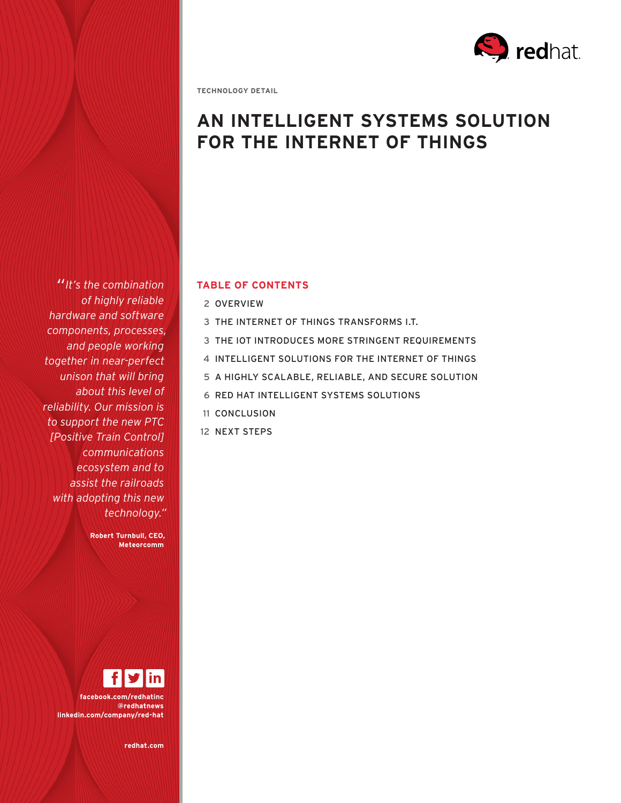

**TECHNOLOGY DETAIL**

# **AN INTELLIGENT SYSTEMS SOLUTION FOR THE INTERNET OF THINGS**

*"It's the combination of highly reliable hardware and software components, processes, and people working together in near-perfect unison that will bring about this level of reliability. Our mission is to support the new PTC [Positive Train Control] communications ecosystem and to assist the railroads with adopting this new technology."* 

> **Robert Turnbull, CEO, Meteorcomm**

**facebook.com/redhatinc @redhatnews linkedin.com/company/red-hat**

**redhat.com** 

## **TABLE OF CONTENTS**

- 2 OVERVIEW
- 3 THE INTERNET OF THINGS TRANSFORMS I.T.
- 3 THE IOT INTRODUCES MORE STRINGENT REQUIREMENTS
- 4 INTELLIGENT SOLUTIONS FOR THE INTERNET OF THINGS
- 5 A HIGHLY SCALABLE, RELIABLE, AND SECURE SOLUTION
- 6 RED HAT INTELLIGENT SYSTEMS SOLUTIONS
- 11 CONCLUSION
- 12 NEXT STEPS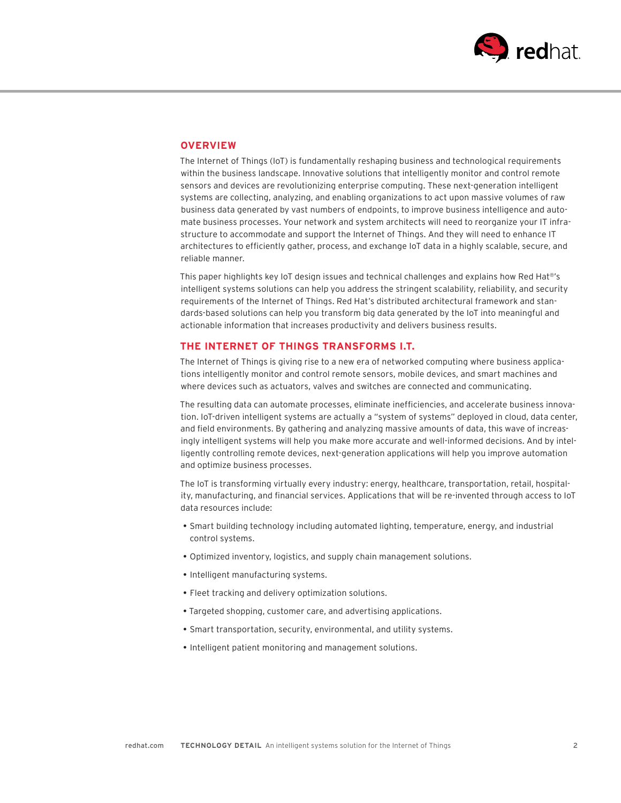

### **OVERVIEW**

The Internet of Things (IoT) is fundamentally reshaping business and technological requirements within the business landscape. Innovative solutions that intelligently monitor and control remote sensors and devices are revolutionizing enterprise computing. These next-generation intelligent systems are collecting, analyzing, and enabling organizations to act upon massive volumes of raw business data generated by vast numbers of endpoints, to improve business intelligence and automate business processes. Your network and system architects will need to reorganize your IT infrastructure to accommodate and support the Internet of Things. And they will need to enhance IT architectures to efficiently gather, process, and exchange IoT data in a highly scalable, secure, and reliable manner.

This paper highlights key IoT design issues and technical challenges and explains how Red Hat®'s intelligent systems solutions can help you address the stringent scalability, reliability, and security requirements of the Internet of Things. Red Hat's distributed architectural framework and standards-based solutions can help you transform big data generated by the IoT into meaningful and actionable information that increases productivity and delivers business results.

### **THE INTERNET OF THINGS TRANSFORMS I.T.**

The Internet of Things is giving rise to a new era of networked computing where business applications intelligently monitor and control remote sensors, mobile devices, and smart machines and where devices such as actuators, valves and switches are connected and communicating.

The resulting data can automate processes, eliminate inefficiencies, and accelerate business innovation. IoT-driven intelligent systems are actually a "system of systems" deployed in cloud, data center, and field environments. By gathering and analyzing massive amounts of data, this wave of increasingly intelligent systems will help you make more accurate and well-informed decisions. And by intelligently controlling remote devices, next-generation applications will help you improve automation and optimize business processes.

The IoT is transforming virtually every industry: energy, healthcare, transportation, retail, hospitality, manufacturing, and financial services. Applications that will be re-invented through access to IoT data resources include:

- Smart building technology including automated lighting, temperature, energy, and industrial control systems.
- Optimized inventory, logistics, and supply chain management solutions.
- Intelligent manufacturing systems.
- Fleet tracking and delivery optimization solutions.
- Targeted shopping, customer care, and advertising applications.
- Smart transportation, security, environmental, and utility systems.
- Intelligent patient monitoring and management solutions.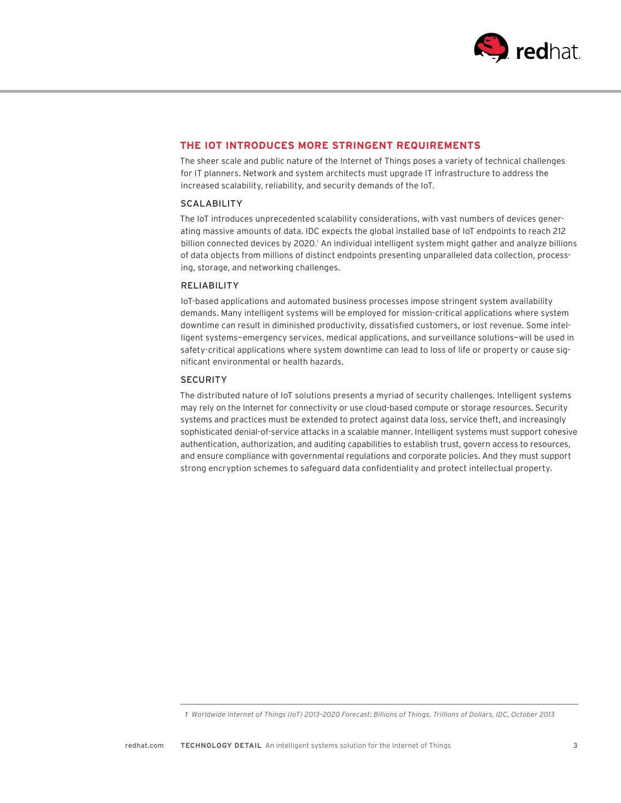

# **THE IOT INTRODUCES MORE STRINGENT REQUIREMENTS**

The sheer scale and public nature of the Internet of Things poses a variety of technical challenges for IT planners. Network and system architects must upgrade IT infrastructure to address the increased scalability, reliability, and security demands of the IoT.

#### **SCALABILITY**

The IoT introduces unprecedented scalability considerations, with vast numbers of devices generating massive amounts of data. IDC expects the global installed base of IoT endpoints to reach 212 billion connected devices by 2020.<sup>1</sup> An individual intelligent system might gather and analyze billions of data objects from millions of distinct endpoints presenting unparalleled data collection, processing, storage, and networking challenges.

#### RELIABILITY

IoT-based applications and automated business processes impose stringent system availability demands. Many intelligent systems will be employed for mission-critical applications where system downtime can result in diminished productivity, dissatisfied customers, or lost revenue. Some intelligent systems—emergency services, medical applications, and surveillance solutions—will be used in safety-critical applications where system downtime can lead to loss of life or property or cause significant environmental or health hazards.

#### **SECURITY**

The distributed nature of IoT solutions presents a myriad of security challenges. Intelligent systems may rely on the Internet for connectivity or use cloud-based compute or storage resources. Security systems and practices must be extended to protect against data loss, service theft, and increasingly sophisticated denial-of-service attacks in a scalable manner. Intelligent systems must support cohesive authentication, authorization, and auditing capabilities to establish trust, govern access to resources, and ensure compliance with governmental regulations and corporate policies. And they must support strong encryption schemes to safeguard data confidentiality and protect intellectual property.

 *<sup>1</sup> Worldwide Internet of Things (IoT) 2013–2020 Forecast: Billions of Things, Trillions of Dollars, IDC, October 2013*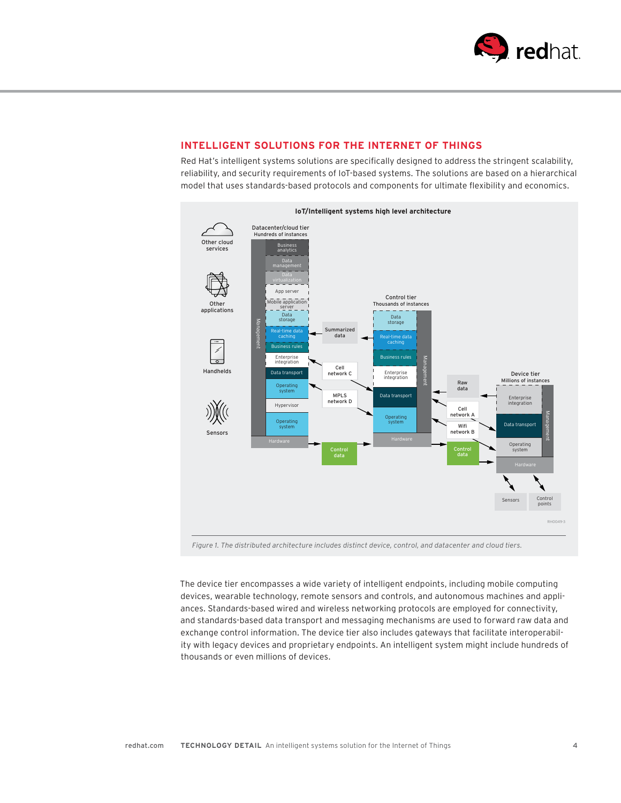

# **INTELLIGENT SOLUTIONS FOR THE INTERNET OF THINGS**

Red Hat's intelligent systems solutions are specifically designed to address the stringent scalability, reliability, and security requirements of IoT-based systems. The solutions are based on a hierarchical model that uses standards-based protocols and components for ultimate flexibility and economics.



*Fig ure 1. The distributed architecture includes distinct device, control, and datacenter and cloud tiers.*

The device tier encompasses a wide variety of intelligent endpoints, including mobile computing devices, wearable technology, remote sensors and controls, and autonomous machines and appliances. Standards-based wired and wireless networking protocols are employed for connectivity, and standards-based data transport and messaging mechanisms are used to forward raw data and exchange control information. The device tier also includes gateways that facilitate interoperability with legacy devices and proprietary endpoints. An intelligent system might include hundreds of thousands or even millions of devices.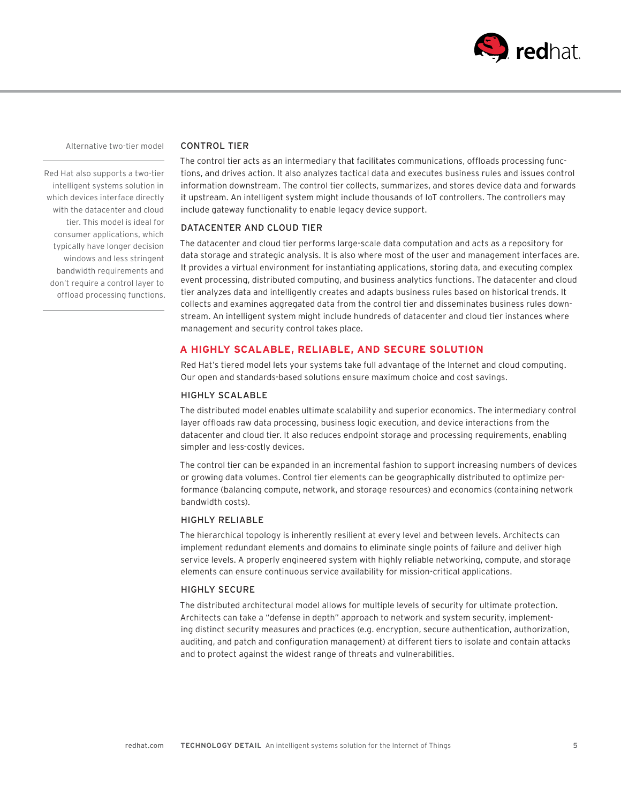

Alternative two-tier model

Red Hat also supports a two-tier intelligent systems solution in which devices interface directly with the datacenter and cloud tier. This model is ideal for consumer applications, which typically have longer decision windows and less stringent bandwidth requirements and don't require a control layer to offload processing functions.

### CONTROL TIER

The control tier acts as an intermediary that facilitates communications, offloads processing functions, and drives action. It also analyzes tactical data and executes business rules and issues control information downstream. The control tier collects, summarizes, and stores device data and forwards it upstream. An intelligent system might include thousands of IoT controllers. The controllers may include gateway functionality to enable legacy device support.

#### DATACENTER AND CLOUD TIER

The datacenter and cloud tier performs large-scale data computation and acts as a repository for data storage and strategic analysis. It is also where most of the user and management interfaces are. It provides a virtual environment for instantiating applications, storing data, and executing complex event processing, distributed computing, and business analytics functions. The datacenter and cloud tier analyzes data and intelligently creates and adapts business rules based on historical trends. It collects and examines aggregated data from the control tier and disseminates business rules downstream. An intelligent system might include hundreds of datacenter and cloud tier instances where management and security control takes place.

#### **A HIGHLY SCALABLE, RELIABLE, AND SECURE SOLUTION**

Red Hat's tiered model lets your systems take full advantage of the Internet and cloud computing. Our open and standards-based solutions ensure maximum choice and cost savings.

#### HIGHLY SCALABLE

The distributed model enables ultimate scalability and superior economics. The intermediary control layer offloads raw data processing, business logic execution, and device interactions from the datacenter and cloud tier. It also reduces endpoint storage and processing requirements, enabling simpler and less-costly devices.

The control tier can be expanded in an incremental fashion to support increasing numbers of devices or growing data volumes. Control tier elements can be geographically distributed to optimize performance (balancing compute, network, and storage resources) and economics (containing network bandwidth costs).

#### HIGHLY RELIABLE

The hierarchical topology is inherently resilient at every level and between levels. Architects can implement redundant elements and domains to eliminate single points of failure and deliver high service levels. A properly engineered system with highly reliable networking, compute, and storage elements can ensure continuous service availability for mission-critical applications.

#### HIGHLY SECURE

The distributed architectural model allows for multiple levels of security for ultimate protection. Architects can take a "defense in depth" approach to network and system security, implementing distinct security measures and practices (e.g. encryption, secure authentication, authorization, auditing, and patch and configuration management) at different tiers to isolate and contain attacks and to protect against the widest range of threats and vulnerabilities.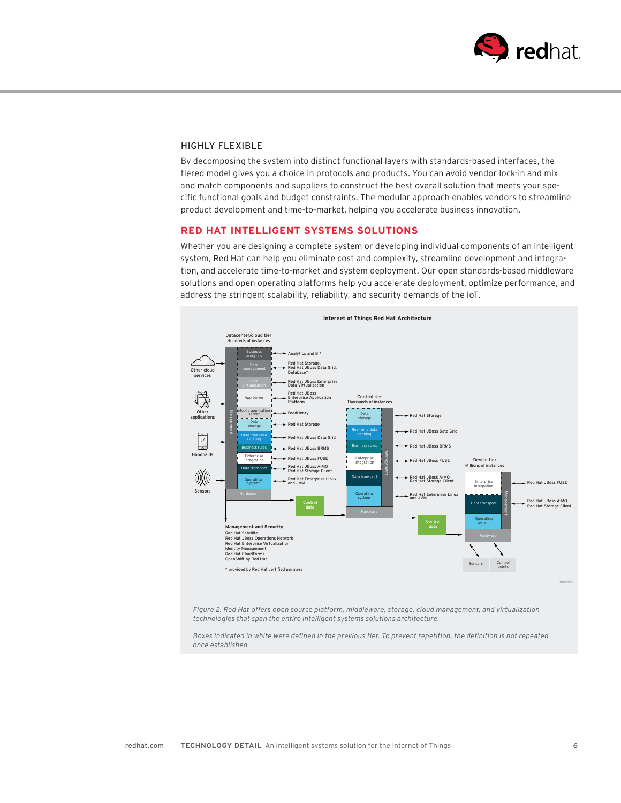

### HIGHLY FLEXIBLE

By decomposing the system into distinct functional layers with standards-based interfaces, the tiered model gives you a choice in protocols and products. You can avoid vendor lock-in and mix and match components and suppliers to construct the best overall solution that meets your specific functional goals and budget constraints. The modular approach enables vendors to streamline product development and time-to-market, helping you accelerate business innovation.

### **RED HAT INTELLIGENT SYSTEMS SOLUTIONS**

Whether you are designing a complete system or developing individual components of an intelligent system, Red Hat can help you eliminate cost and complexity, streamline development and integration, and accelerate time-to-market and system deployment. Our open standards-based middleware solutions and open operating platforms help you accelerate deployment, optimize performance, and address the stringent scalability, reliability, and security demands of the IoT.



*Figure 2. Red Hat offers open source platform, middleware, storage, cloud management, and virtualization technologies that span the entire intelligent systems solutions architecture.* 

*Boxes indicated in white were defined in the previous tier. To prevent repetition, the definition is not repeated once established.*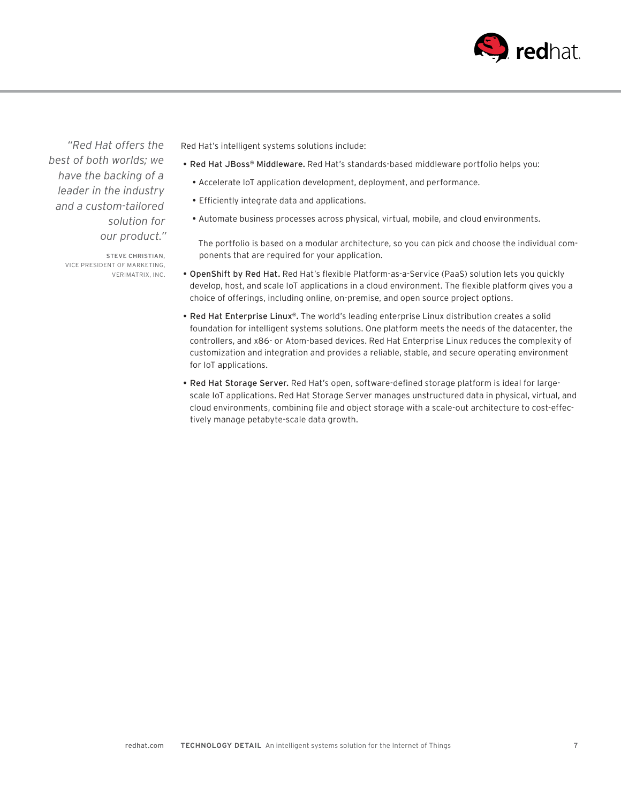

*"Red Hat offers the best of both worlds; we have the backing of a leader in the industry and a custom-tailored solution for our product."* 

> STEVE CHRISTIAN, VICE PRESIDENT OF MARKETING, VERIMATRIX, INC.

Red Hat's intelligent systems solutions include:

- Red Hat JBoss® Middleware. Red Hat's standards-based middleware portfolio helps you:
	- Accelerate IoT application development, deployment, and performance.
	- Efficiently integrate data and applications.
	- Automate business processes across physical, virtual, mobile, and cloud environments.

The portfolio is based on a modular architecture, so you can pick and choose the individual components that are required for your application.

- OpenShift by Red Hat. Red Hat's flexible Platform-as-a-Service (PaaS) solution lets you quickly develop, host, and scale IoT applications in a cloud environment. The flexible platform gives you a choice of offerings, including online, on-premise, and open source project options.
- Red Hat Enterprise Linux®. The world's leading enterprise Linux distribution creates a solid foundation for intelligent systems solutions. One platform meets the needs of the datacenter, the controllers, and x86- or Atom-based devices. Red Hat Enterprise Linux reduces the complexity of customization and integration and provides a reliable, stable, and secure operating environment for IoT applications.
- Red Hat Storage Server. Red Hat's open, software-defined storage platform is ideal for largescale IoT applications. Red Hat Storage Server manages unstructured data in physical, virtual, and cloud environments, combining file and object storage with a scale-out architecture to cost-effectively manage petabyte-scale data growth.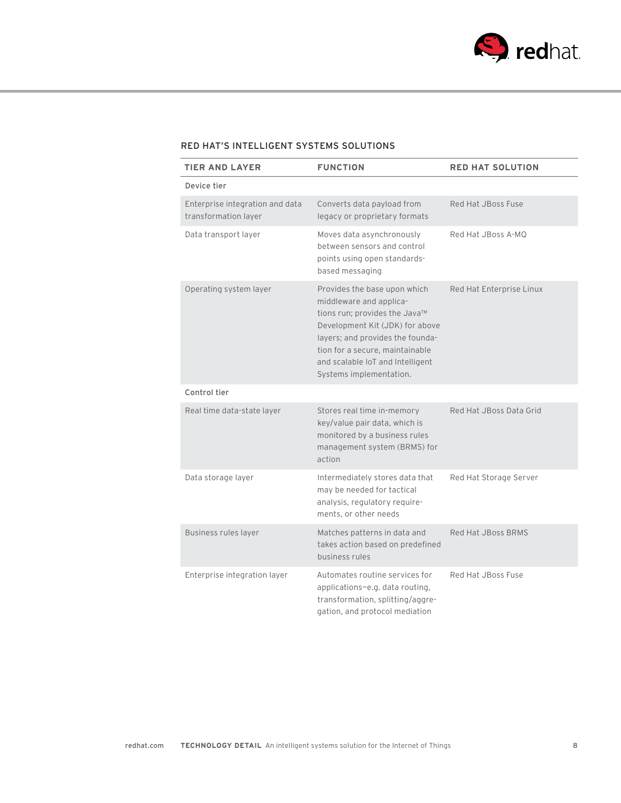

# RED HAT'S INTELLIGENT SYSTEMS SOLUTIONS

| <b>TIER AND LAYER</b>                                   | <b>FUNCTION</b>                                                                                                                                                                                                                                                   | <b>RED HAT SOLUTION</b>  |
|---------------------------------------------------------|-------------------------------------------------------------------------------------------------------------------------------------------------------------------------------------------------------------------------------------------------------------------|--------------------------|
| Device tier                                             |                                                                                                                                                                                                                                                                   |                          |
| Enterprise integration and data<br>transformation layer | Converts data payload from<br>legacy or proprietary formats                                                                                                                                                                                                       | Red Hat JBoss Fuse       |
| Data transport layer                                    | Moves data asynchronously<br>between sensors and control<br>points using open standards-<br>based messaging                                                                                                                                                       | Red Hat JBoss A-MQ       |
| Operating system layer                                  | Provides the base upon which<br>middleware and applica-<br>tions run; provides the Java™<br>Development Kit (JDK) for above<br>layers; and provides the founda-<br>tion for a secure, maintainable<br>and scalable IoT and Intelligent<br>Systems implementation. | Red Hat Enterprise Linux |
| Control tier                                            |                                                                                                                                                                                                                                                                   |                          |
| Real time data-state layer                              | Stores real time in-memory<br>key/value pair data, which is<br>monitored by a business rules<br>management system (BRMS) for<br>action                                                                                                                            | Red Hat JBoss Data Grid  |
| Data storage layer                                      | Intermediately stores data that<br>may be needed for tactical<br>analysis, regulatory require-<br>ments, or other needs                                                                                                                                           | Red Hat Storage Server   |
| <b>Business rules layer</b>                             | Matches patterns in data and<br>takes action based on predefined<br>business rules                                                                                                                                                                                | Red Hat JBoss BRMS       |
| Enterprise integration layer                            | Automates routine services for<br>applications-e.g. data routing,<br>transformation, splitting/aggre-<br>gation, and protocol mediation                                                                                                                           | Red Hat JBoss Fuse       |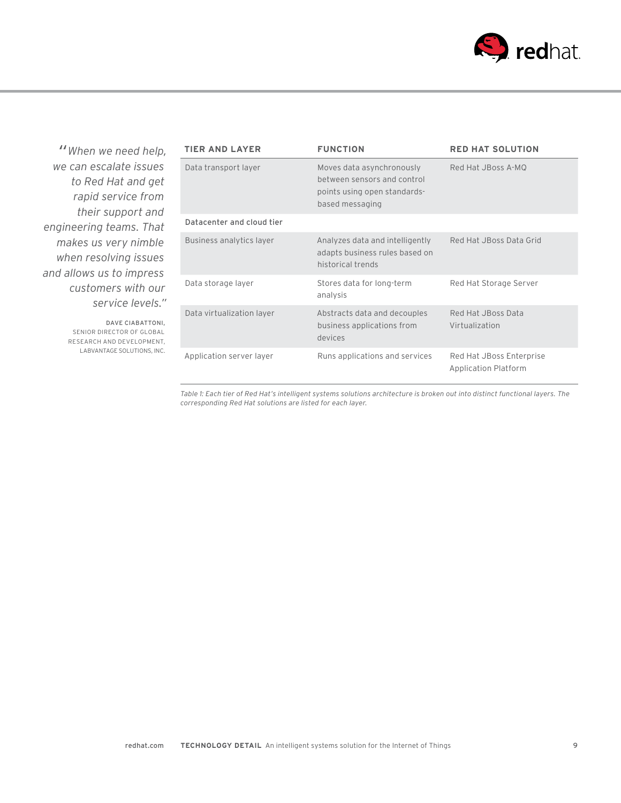

*"When we need help, we can escalate issues to Red Hat and get rapid service from their support and engineering teams. That makes us very nimble when resolving issues and allows us to impress customers with our service levels."*

> DAVE CIABATTONI, SENIOR DIRECTOR OF GLOBAL RESEARCH AND DEVELOPMENT, LABVANTAGE SOLUTIONS, INC.

| TIER AND LAYER            | <b>FUNCTION</b>                                                                                             | <b>RED HAT SOLUTION</b>                          |
|---------------------------|-------------------------------------------------------------------------------------------------------------|--------------------------------------------------|
| Data transport layer      | Moves data asynchronously<br>between sensors and control<br>points using open standards-<br>based messaging | Red Hat JBoss A-MO                               |
| Datacenter and cloud tier |                                                                                                             |                                                  |
| Business analytics layer  | Analyzes data and intelligently<br>adapts business rules based on<br>historical trends                      | Red Hat JBoss Data Grid                          |
| Data storage layer        | Stores data for long-term<br>analysis                                                                       | Red Hat Storage Server                           |
| Data virtualization layer | Abstracts data and decouples<br>business applications from<br>devices                                       | Red Hat JBoss Data<br>Virtualization             |
| Application server layer  | Runs applications and services                                                                              | Red Hat JBoss Enterprise<br>Application Platform |

*Table 1: Each tier of Red Hat's intelligent systems solutions architecture is broken out into distinct functional layers. The corresponding Red Hat solutions are listed for each layer.*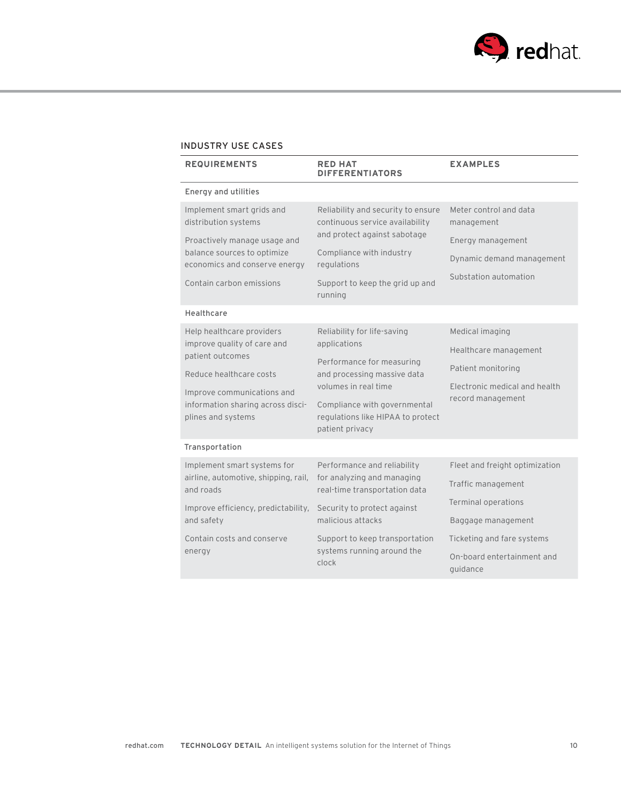

# INDUSTRY USE CASES

| <b>REQUIREMENTS</b>                                                              | <b>RED HAT</b><br><b>DIFFERENTIATORS</b>                                                                                                         | <b>EXAMPLES</b>                        |
|----------------------------------------------------------------------------------|--------------------------------------------------------------------------------------------------------------------------------------------------|----------------------------------------|
| Energy and utilities                                                             |                                                                                                                                                  |                                        |
| Implement smart grids and<br>distribution systems                                | Reliability and security to ensure<br>continuous service availability<br>and protect against sabotage<br>Compliance with industry<br>regulations | Meter control and data<br>management   |
| Proactively manage usage and                                                     |                                                                                                                                                  | Energy management                      |
| balance sources to optimize<br>economics and conserve energy                     |                                                                                                                                                  | Dynamic demand management              |
| Contain carbon emissions                                                         | Support to keep the grid up and<br>running                                                                                                       | Substation automation                  |
| Healthcare                                                                       |                                                                                                                                                  |                                        |
| Help healthcare providers<br>improve quality of care and<br>patient outcomes     | Reliability for life-saving<br>applications                                                                                                      | Medical imaging                        |
|                                                                                  |                                                                                                                                                  | Healthcare management                  |
| Reduce healthcare costs                                                          | Performance for measuring<br>and processing massive data                                                                                         | Patient monitoring                     |
| Improve communications and                                                       | volumes in real time                                                                                                                             | Electronic medical and health          |
| information sharing across disci-<br>plines and systems                          | Compliance with governmental<br>regulations like HIPAA to protect<br>patient privacy                                                             | record management                      |
| Transportation                                                                   |                                                                                                                                                  |                                        |
| Implement smart systems for<br>airline, automotive, shipping, rail,<br>and roads | Performance and reliability<br>for analyzing and managing<br>real-time transportation data                                                       | Fleet and freight optimization         |
|                                                                                  |                                                                                                                                                  | Traffic management                     |
| Improve efficiency, predictability,<br>and safety                                | Security to protect against<br>malicious attacks                                                                                                 | <b>Terminal operations</b>             |
|                                                                                  |                                                                                                                                                  | Baggage management                     |
| Contain costs and conserve<br>energy                                             | Support to keep transportation<br>systems running around the<br>clock                                                                            | Ticketing and fare systems             |
|                                                                                  |                                                                                                                                                  | On-board entertainment and<br>guidance |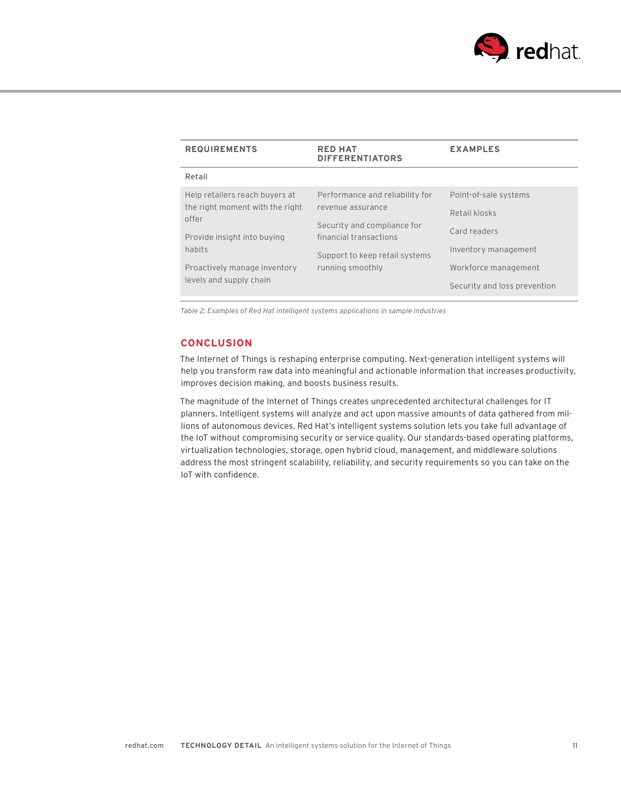

| <b>REQUIREMENTS</b>                                     | <b>RED HAT</b><br><b>DIFFERENTIATORS</b>              | <b>EXAMPLES</b>              |
|---------------------------------------------------------|-------------------------------------------------------|------------------------------|
| Retail                                                  |                                                       |                              |
| Help retailers reach buyers at                          | Performance and reliability for                       | Point-of-sale systems        |
| the right moment with the right<br>offer                | revenue assurance                                     | Retail kiosks                |
| Provide insight into buying                             | Security and compliance for<br>financial transactions | Card readers                 |
| habits                                                  | Support to keep retail systems                        | Inventory management         |
| Proactively manage inventory<br>levels and supply chain | running smoothly                                      | Workforce management         |
|                                                         |                                                       | Security and loss prevention |

*Table 2: Examples of Red Hat intelligent systems applications in sample industries*

#### **CONCLUSION**

The Internet of Things is reshaping enterprise computing. Next-generation intelligent systems will help you transform raw data into meaningful and actionable information that increases productivity, improves decision making, and boosts business results.

The magnitude of the Internet of Things creates unprecedented architectural challenges for IT planners. Intelligent systems will analyze and act upon massive amounts of data gathered from millions of autonomous devices. Red Hat's intelligent systems solution lets you take full advantage of the IoT without compromising security or service quality. Our standards-based operating platforms, virtualization technologies, storage, open hybrid cloud, management, and middleware solutions address the most stringent scalability, reliability, and security requirements so you can take on the IoT with confidence.